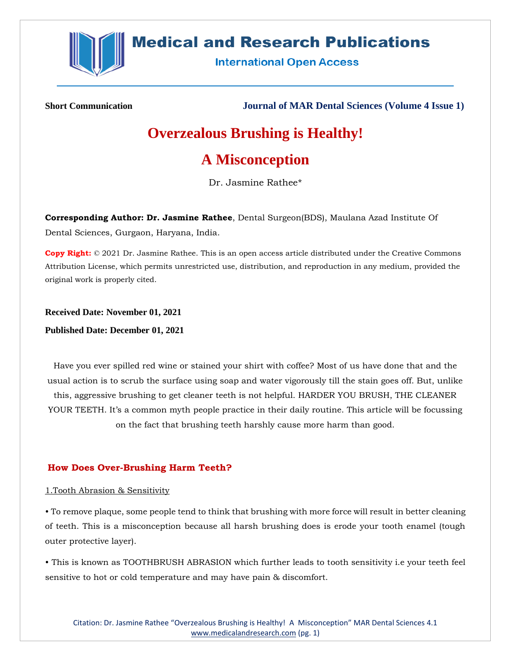

## **Medical and Research Publications**

**International Open Access** 

**Short Communication Journal of MAR Dental Sciences (Volume 4 Issue 1)**

# **Overzealous Brushing is Healthy!**

## **A Misconception**

Dr. Jasmine Rathee\*

**Corresponding Author: Dr. Jasmine Rathee**, Dental Surgeon(BDS), Maulana Azad Institute Of Dental Sciences, Gurgaon, Haryana, India.

**Copy Right:** © 2021 Dr. Jasmine Rathee. This is an open access article distributed under the Creative Commons Attribution License, which permits unrestricted use, distribution, and reproduction in any medium, provided the original work is properly cited.

**Received Date: November 01, 2021 Published Date: December 01, 2021**

Have you ever spilled red wine or stained your shirt with coffee? Most of us have done that and the usual action is to scrub the surface using soap and water vigorously till the stain goes off. But, unlike this, aggressive brushing to get cleaner teeth is not helpful. HARDER YOU BRUSH, THE CLEANER YOUR TEETH. It's a common myth people practice in their daily routine. This article will be focussing on the fact that brushing teeth harshly cause more harm than good.

## **How Does Over-Brushing Harm Teeth?**

## 1.Tooth Abrasion & Sensitivity

• To remove plaque, some people tend to think that brushing with more force will result in better cleaning of teeth. This is a misconception because all harsh brushing does is erode your tooth enamel (tough outer protective layer).

• This is known as TOOTHBRUSH ABRASION which further leads to tooth sensitivity i.e your teeth feel sensitive to hot or cold temperature and may have pain & discomfort.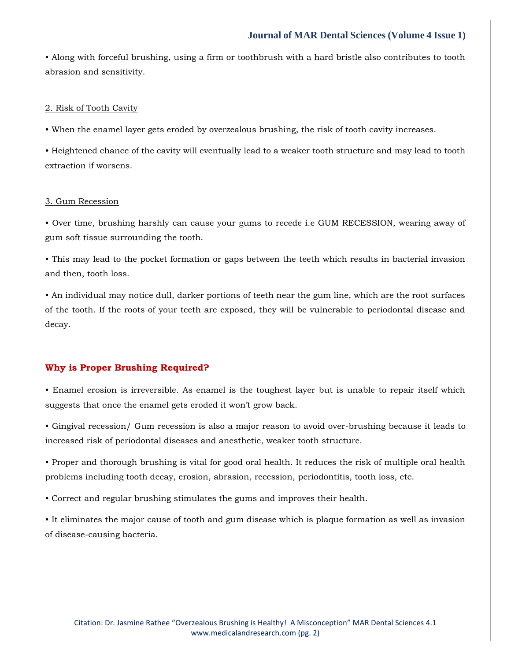## **Journal of MAR Dental Sciences (Volume 4 Issue 1)**

• Along with forceful brushing, using a firm or toothbrush with a hard bristle also contributes to tooth abrasion and sensitivity.

#### 2. Risk of Tooth Cavity

• When the enamel layer gets eroded by overzealous brushing, the risk of tooth cavity increases.

• Heightened chance of the cavity will eventually lead to a weaker tooth structure and may lead to tooth extraction if worsens.

#### 3. Gum Recession

• Over time, brushing harshly can cause your gums to recede i.e GUM RECESSION, wearing away of gum soft tissue surrounding the tooth.

• This may lead to the pocket formation or gaps between the teeth which results in bacterial invasion and then, tooth loss.

• An individual may notice dull, darker portions of teeth near the gum line, which are the root surfaces of the tooth. If the roots of your teeth are exposed, they will be vulnerable to periodontal disease and decay.

### **Why is Proper Brushing Required?**

• Enamel erosion is irreversible. As enamel is the toughest layer but is unable to repair itself which suggests that once the enamel gets eroded it won't grow back.

• Gingival recession/ Gum recession is also a major reason to avoid over-brushing because it leads to increased risk of periodontal diseases and anesthetic, weaker tooth structure.

• Proper and thorough brushing is vital for good oral health. It reduces the risk of multiple oral health problems including tooth decay, erosion, abrasion, recession, periodontitis, tooth loss, etc.

• Correct and regular brushing stimulates the gums and improves their health.

• It eliminates the major cause of tooth and gum disease which is plaque formation as well as invasion of disease-causing bacteria.